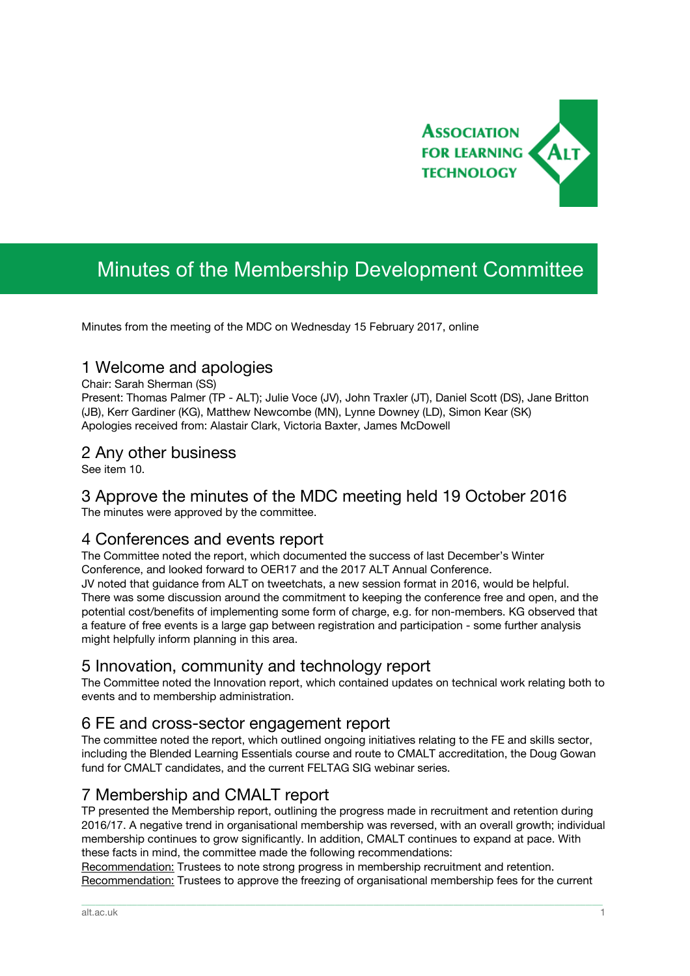

# Minutes of the Membership Development Committee

Minutes from the meeting of the MDC on Wednesday 15 February 2017, online

#### 1 Welcome and apologies

Chair: Sarah Sherman (SS)

Present: Thomas Palmer (TP - ALT); Julie Voce (JV), John Traxler (JT), Daniel Scott (DS), Jane Britton (JB), Kerr Gardiner (KG), Matthew Newcombe (MN), Lynne Downey (LD), Simon Kear (SK) Apologies received from: Alastair Clark, Victoria Baxter, James McDowell

#### 2 Any other business

See item 10.

## 3 Approve the minutes of the MDC meeting held 19 October 2016

The minutes were approved by the committee.

## 4 Conferences and events report

The Committee noted the report, which documented the success of last December's Winter Conference, and looked forward to OER17 and the 2017 ALT Annual Conference.

JV noted that guidance from ALT on tweetchats, a new session format in 2016, would be helpful. There was some discussion around the commitment to keeping the conference free and open, and the potential cost/benefits of implementing some form of charge, e.g. for non-members. KG observed that a feature of free events is a large gap between registration and participation - some further analysis might helpfully inform planning in this area.

## 5 Innovation, community and technology report

The Committee noted the Innovation report, which contained updates on technical work relating both to events and to membership administration.

## 6 FE and cross-sector engagement report

The committee noted the report, which outlined ongoing initiatives relating to the FE and skills sector, including the Blended Learning Essentials course and route to CMALT accreditation, the Doug Gowan fund for CMALT candidates, and the current FELTAG SIG webinar series.

## 7 Membership and CMALT report

TP presented the Membership report, outlining the progress made in recruitment and retention during 2016/17. A negative trend in organisational membership was reversed, with an overall growth; individual membership continues to grow significantly. In addition, CMALT continues to expand at pace. With these facts in mind, the committee made the following recommendations:

Recommendation: Trustees to note strong progress in membership recruitment and retention. Recommendation: Trustees to approve the freezing of organisational membership fees for the current

\_\_\_\_\_\_\_\_\_\_\_\_\_\_\_\_\_\_\_\_\_\_\_\_\_\_\_\_\_\_\_\_\_\_\_\_\_\_\_\_\_\_\_\_\_\_\_\_\_\_\_\_\_\_\_\_\_\_\_\_\_\_\_\_\_\_\_\_\_\_\_\_\_\_\_\_\_\_\_\_\_\_\_\_\_\_\_\_\_\_\_\_\_\_\_\_\_\_\_\_\_\_\_\_\_\_\_\_\_\_\_\_\_\_\_\_\_\_\_\_\_\_\_\_\_\_\_\_\_\_\_\_\_\_\_\_\_\_\_\_\_\_\_\_\_\_\_\_\_\_